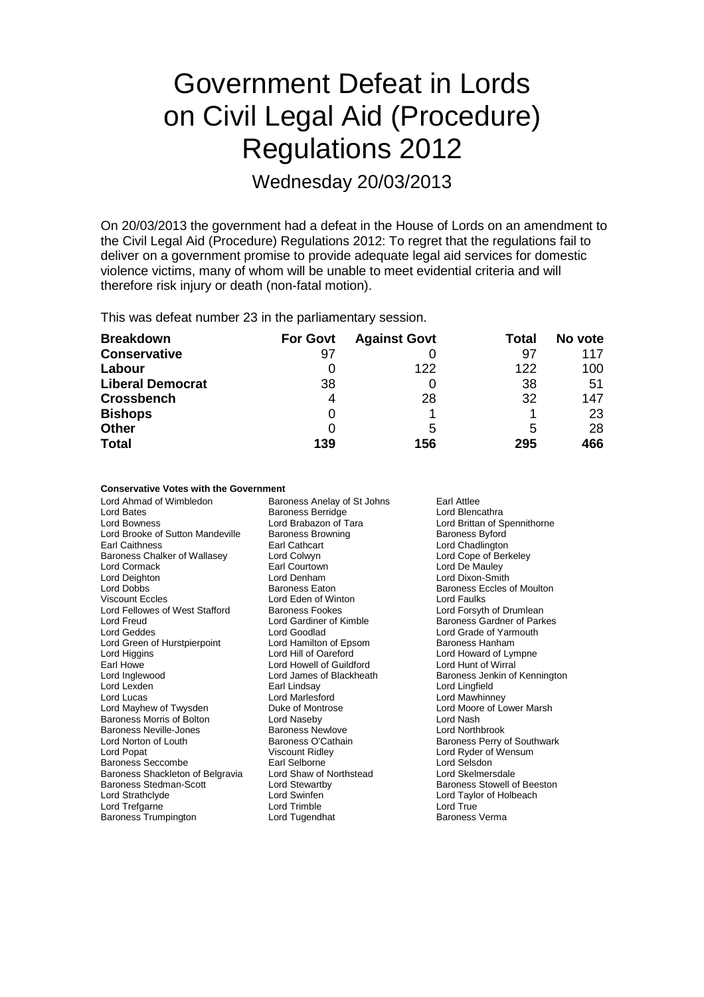# Government Defeat in Lords on Civil Legal Aid (Procedure) Regulations 2012

Wednesday 20/03/2013

On 20/03/2013 the government had a defeat in the House of Lords on an amendment to the Civil Legal Aid (Procedure) Regulations 2012: To regret that the regulations fail to deliver on a government promise to provide adequate legal aid services for domestic violence victims, many of whom will be unable to meet evidential criteria and will therefore risk injury or death (non-fatal motion).

This was defeat number 23 in the parliamentary session.

| <b>Breakdown</b>        | <b>For Govt</b> | <b>Against Govt</b> | Total | No vote |
|-------------------------|-----------------|---------------------|-------|---------|
| <b>Conservative</b>     | 97              |                     | 97    | 117     |
| Labour                  |                 | 122                 | 122   | 100     |
| <b>Liberal Democrat</b> | 38              |                     | 38    | 51      |
| <b>Crossbench</b>       | 4               | 28                  | 32    | 147     |
| <b>Bishops</b>          | 0               |                     |       | 23      |
| <b>Other</b>            | 0               | 5                   | 5     | 28      |
| <b>Total</b>            | 139             | 156                 | 295   | 466     |

#### **Conservative Votes with the Government**

Lord Ahmad of Wimbledon Baroness Anelay of St Johns Earl Attlee<br>
Lord Bates Baroness Berridge Lord Blencathra Lord Bates **Baroness Berridge**<br>1998 Lord Brabazon of Tara Lord Brooke of Sutton Mandeville Baroness Browning Baroness Byford<br>
Earl Caithness Baroness Baroness Browning Baroness Byford<br>
Lord Chadlington Earl Caithness<br>
Earl Caithness<br>
Baroness Chalker of Wallasey Lord Colwyn Collumn Lord Cope of Berkeley Baroness Chalker of Wallasey Lord Colwyn<br>Lord Cormack Berkeley Farl Courtown Lord Cormack **Earl Courtown** Earl Courtown Lord De Mauley<br>
Lord De Mauley<br>
Lord Denham
Lord De Mauley<br>
Lord Dixon-Smit Lord Deighton Lord Denham Lord Dixon-Smith Lord Dobbs Baroness Eaton Baroness Eccles of Moulton Viscount Eccles Lord Eden of Winton<br>
Lord Fellowes of West Stafford Baroness Fookes Lord Fellowes of West Stafford Baroness Fookes Lord Forsyth of Drumlean<br>
Lord Freud Lord Gardiner of Kimble Baroness Gardner of Park Lord Freud **Lord Gardiner of Kimble** Baroness Gardner of Parkes<br>
Lord Geddes **Lord Goodlad** Lord Goodlad **Lord Grade of Yarmouth** Lord Green of Hurstpierpoint Lord Hamilton of Eps<br>
Lord Hill of Oareford Lord Higgins Lord Hill of Oareford Lord Howard of Lympne<br>
Lord Howard Lord Howell of Guildford Lord Hunt of Wirral Earl Howe **Lord Howell of Guildford Lord Howell of Guildford**<br>
Lord Inglewood **Lord James of Blackheath** Lord Lexden Earl Lindsay Lord Lingfield Lord Lucas Lord Marlesford Lord Marlesford Lord Mawhinney<br>
Lord Mayhew of Twysden Lord Duke of Montrose Lord Moore of Lord Moore of Lord Moore of Lord Moore of Lord May Baroness Morris of Bolton Lord Naseby Lord Nash Lord Norton of Louth **Baroness O'Cathain** Baroness Perry of Southwark<br>
Lord Popat **Baroness Perry of Southwark**<br>
Lord Ryder of Wensum Lord Popat **Communist Communist Communist Communist Communist Communist Communist Communist Communist Communist Communist Communist Communist Communist Communist Communist Communist Communist Communist Communist Communist** Baroness Seccombe **Earl Selborne** Earl Selborne Lord Selsdon<br>Baroness Shackleton of Belgravia Lord Shaw of Northstead **Lord Skelmersdale** Baroness Shackleton of Belgravia Lord Shaw of N<br>Baroness Stedman-Scott Lord Stewartby Lord Strathclyde Lord Swinfen Lord Taylor of Holbeach Lord Trefgarne Lord Trimble Lord Trefgarne Lord True<br>
Baroness Trumpington Lord Tugendhat Corpus Baroness Verma Baroness Trumpington

Lord Goodlad **Lord Grade of Yarmouth**<br>
Lord Hamilton of Epsom **Baroness** Hanham Baroness Newlove

Lord Brittan of Spennithorne Baroness Jenkin of Kennington Lord Mayhew of Twysden Duke of Montrose Lord Moore of Lower Marsh Baroness Stowell of Beeston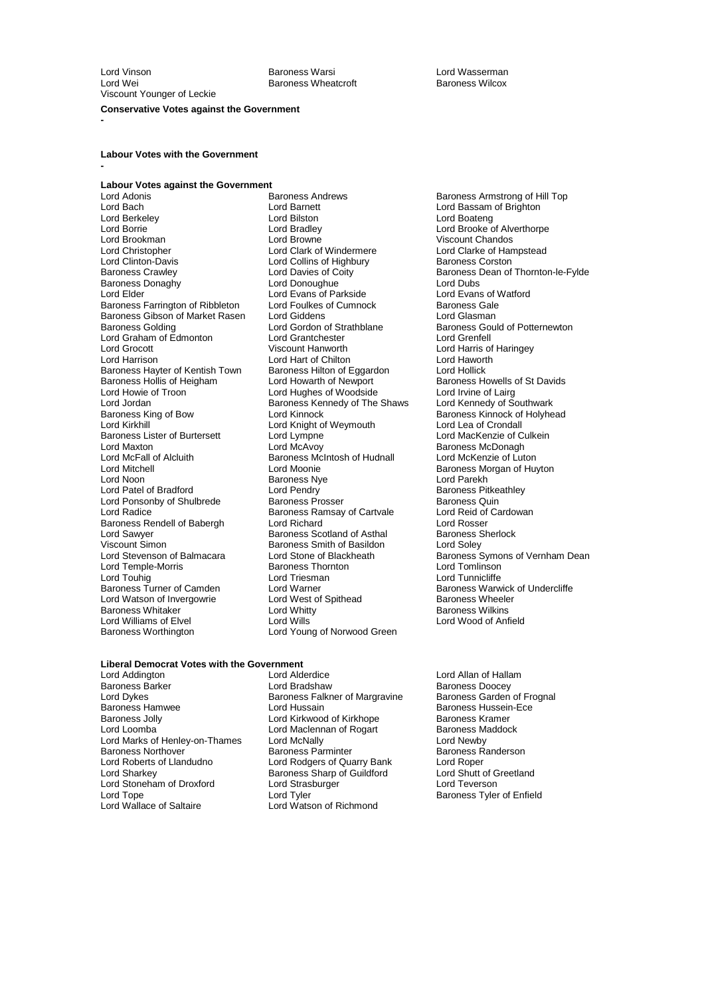Lord Vinson Baroness Warsi Lord Wasserman Viscount Younger of Leckie

Baroness Wheatcroft

#### **Conservative Votes against the Government**

**-**

**-**

### **Labour Votes with the Government**

## **Labour Votes against the Government**

Lord Bach **Lord Barnett** Lord Barnett Lord Bassam of Brighton<br>
Lord Barkeley **Lord Barnett** Lord Boaten Lord Boateng Lord Berkeley **Lord Bilston**<br>
Lord Boateng Lord Bradley<br>
Lord Boateng Lord Bradley<br>
Lord Bradley Lord Borrie Lord Bradley Lord Brooke of Alverthorpe Lord Brookman Lord Browne Viscount Chandos Lord Christopher Lord Clark of Windermere Lord Clarke of Hampstead Lord Clinton-Davis<br>
Baroness Crawley 
Baroness Crawley

Lord Davies of Coity Baroness Donaghy **Lord Donoughue**<br>
Lord Exans of Parkside **Lord Evans of Dubs**<br>
Lord Elder **Lord Evans of Parkside** Lord Evans of Watford Baroness Farrington of Ribbleton Lord Foulkes of Cumnock Baroness Gale<br>Baroness Gibson of Market Rasen Lord Giddens Lord Guasman Baroness Gibson of Market Rasen Lord Giddens<br>
Baroness Golding 
Baroness Lord Gordon of Strathblane Lord Graham of Edmonton Lord Grantchester<br>
Lord Grocott Cord Creation Creation Creation Lord Grocott **Contains the Container Container Container** Lord Harris of Haringey<br>Lord Harrison **Lord Hart of Chilton** Container Lord Haworth Baroness Hayter of Kentish Town Baroness Hilton of Eggardon Lord Hollick<br>Baroness Hollis of Heigham Lord Howarth of Newport Baroness Howells of St Davids Baroness Hollis of Heigham Lord Howarth of Newport Baroness Howells of Heigham Lord Howarth of Newport Baroness Howells of Lairg Lord Howie of Troon Lord Hughes of Woodside Lord Irvine of Lairg<br>
Lord Jordan **Lord Lord All Cord Act Lord Act Act Lord Kennedy of Southwark** Lord Jordan **Baroness Kennedy of The Shaws**<br>
Baroness King of Bow **Baroness Kennedy of The Shaws** Baroness King of Bow **Lord Kinnock** Communist Communist Baroness Kinnock of Holyhead<br>
Lord Kirkhill Lord Kinght of Weymouth Lord Lea of Crondall Baroness Lister of Burtersett Lord Lympne<br>Lord Maxton Lord McAyov Lord Maxton Lord McAvoy Carolic Baroness McDonagh<br>
Lord McFall of Alcluith Baroness McIntosh of Hudnall Lord McKenzie of Luton Lord McFall of Alcluith Baroness McIntosh of Hudnall<br>
Lord Mitchell<br>
Lord Moonie Lord Mitchell Lord Moonie Baroness Morgan of Huyton Lord Patel of Bradford Lord Pendry Cord Pendry Baroness Pitke<br>
Lord Ponsonby of Shulbrede Baroness Prosser Baroness Quin Lord Ponsonby of Shulbrede Baroness Prosser Baroness Quin<br>
Baroness Ramsay of Cartvale Lord Reid of Cardowan Baroness Rendell of Babergh Lord Richard Lord Rosser<br>
Lord Sawyer Baroness Scotland of Asthal Baroness Sherlock Lord Sawyer The Control of Baroness Scotland of Asthal Theorem Control Baroness Sherlock Baroness Sherlock Baroness Sherlock Baroness Sherlock Baroness Sherlock Baroness Sherlock Baroness Sherlock Baroness Sherlock Barones Viscount Simon **Baroness Smith of Basildon**<br>
Lord Stevenson of Balmacara **Basildon**<br>
Lord Stone of Blackheath Lord Temple-Morris Baroness Thornton Baroness Thornton Lord Triesman<br>
Lord Touhig Lord Touhig Lord Triesman Lord Triesman Lord Tunnicliffe<br>
Baroness Turner of Camden Lord Warner Lord Tunnicliffe Lord Watson of Invergowrie **Lord West of Spithead** Baroness Wheeler<br>Baroness Whitaker **Baroness Wilkins** Lord Whitty **Baroness Wilkins** Baroness Whitaker **Example 2 Example 2 Lord Whitty**<br>
Lord Williams of Elvel **Baroness Williams** Lord Wills **Corputer** Lord Wood of Anfield Lord Williams of Elvel<br>Baroness Worthington

Lord Adonis Baroness Andrews Baroness Armstrong of Hill Top<br>
Lord Barnett Lord Bassam of Brighton Lord Evans of Parkside Lord Evans of Van Lord Evans of Van Lord Evans of Van Lord Evans of Van Lord Evans of V Lord Gordon of Strathblane Baroness Gould of Potternewton<br>Lord Grantchester Lord Grenfell Lord Hart of Chilton **Lord Hawort**<br>Baroness Hilton of Eggardon **Lord Hollick** Lord Knight of Weymouth Lord Lea of Crondall<br>
Lord Lord MacKenzie of Culkein Examples National Cord Parekh<br>
Lord Pendry<br>
Lord Pendry Cord Baroness Pitkeathley Baroness Ramsay of Cartvale Lord Reid of Lord Richard<br>
Lord Richard Cartvale Lord Rosser Lord Warner **Camela Camela Camela Baroness Warwick of Undercliffe**<br>
Baroness Wheeler<br>
Baroness Wheeler Lord Young of Norwood Green

Baroness Crawley Lord Davies of Coity Baroness Dean of Thornton-le-Fylde Lord Stone of Blackheath Baroness Symons of Vernham Dean<br>Baroness Thornton **Baroness** Lord Tomlinson

### **Liberal Democrat Votes with the Government**

Baroness Barker **Communist Communist Communist Communist Communist Communist Communist Communist Communist Communist Communist Communist Communist Communist Communist Communist Communist Communist Communist Communist Commu** Lord Dykes Baroness Falkner of Margravine<br>Baroness Hamwee Baroness From Lord Hussain Baroness Hamwee Lord Hussain Baroness Hussein-Ece Baroness Jolly **Communist Conducts** Lord Kirkwood of Kirkhope **Baroness Kramer**<br>
Lord Maclennan of Rogart **Baroness Maddock** Lord Marks of Henley-on-Thames Lord McNally Lord Newby<br>Baroness Northover Baroness Parminter Baroness Ramoness Raminter Baroness Northover **Baroness Parminter** Baroness Randerson<br> **Baroness Randerson**<br> **Baroness And Baroness Parminter** Bank<br> **Baroness Randerson** Lord Sharkey **Baroness Sharp of Guildford** Lord Shutt of Guildford Lord Shutt of G<br>
Lord Strasburger Cord Teverson Lord Stoneham of Droxford Lord Stras<br>Cord Tope Lord Tyler

Lord Addington Lord Alderdice Lord Allan of Hallam Lord Maclennan of Rogart Lord Rodgers of Quarry Bank Lord Roper<br>Baroness Sharp of Guildford Lord Shutt of Greetland Lord Tope Lord Tyler Corp Corp Baroness Tyler of Enfield<br>
Lord Watson of Richmond<br>
Lord Watson of Richmond Lord Watson of Richmond